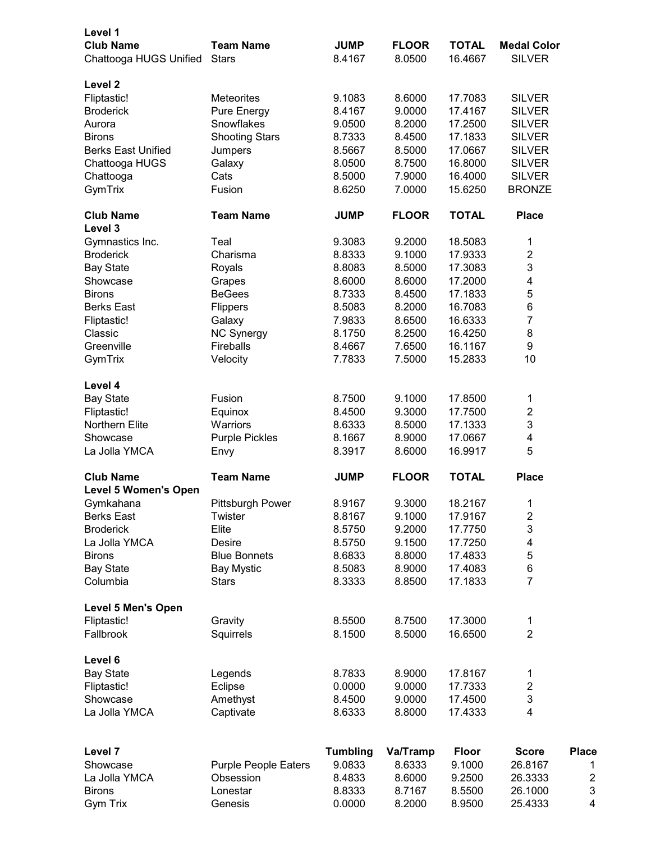| Level 1<br><b>Club Name</b><br>Chattooga HUGS Unified | <b>Team Name</b><br><b>Stars</b> | <b>JUMP</b><br>8.4167 | <b>FLOOR</b><br>8.0500 | <b>TOTAL</b><br>16.4667 | <b>Medal Color</b><br><b>SILVER</b> |                |
|-------------------------------------------------------|----------------------------------|-----------------------|------------------------|-------------------------|-------------------------------------|----------------|
| Level 2                                               |                                  |                       |                        |                         |                                     |                |
| Fliptastic!                                           | <b>Meteorites</b>                | 9.1083                | 8.6000                 | 17.7083                 | <b>SILVER</b>                       |                |
| <b>Broderick</b>                                      | Pure Energy                      | 8.4167                | 9.0000                 | 17.4167                 | <b>SILVER</b>                       |                |
| Aurora                                                | Snowflakes                       | 9.0500                | 8.2000                 | 17.2500                 | <b>SILVER</b>                       |                |
| <b>Birons</b>                                         | <b>Shooting Stars</b>            | 8.7333                | 8.4500                 | 17.1833                 | <b>SILVER</b>                       |                |
| <b>Berks East Unified</b>                             | Jumpers                          | 8.5667                | 8.5000                 | 17.0667                 | <b>SILVER</b>                       |                |
| Chattooga HUGS                                        | Galaxy                           | 8.0500                | 8.7500                 | 16.8000                 | <b>SILVER</b>                       |                |
| Chattooga                                             | Cats                             | 8.5000                | 7.9000                 | 16.4000                 | <b>SILVER</b>                       |                |
| GymTrix                                               | Fusion                           | 8.6250                | 7.0000                 | 15.6250                 | <b>BRONZE</b>                       |                |
| <b>Club Name</b>                                      | <b>Team Name</b>                 | <b>JUMP</b>           | <b>FLOOR</b>           | <b>TOTAL</b>            | <b>Place</b>                        |                |
| Level 3                                               |                                  |                       |                        |                         |                                     |                |
| Gymnastics Inc.                                       | Teal                             | 9.3083                | 9.2000                 | 18.5083                 | 1                                   |                |
| <b>Broderick</b>                                      | Charisma                         | 8.8333                | 9.1000                 | 17.9333                 | $\boldsymbol{2}$                    |                |
| <b>Bay State</b>                                      | Royals                           | 8.8083                | 8.5000                 | 17.3083                 | 3                                   |                |
| Showcase                                              | Grapes                           | 8.6000                | 8.6000                 | 17.2000                 | 4                                   |                |
| <b>Birons</b>                                         | <b>BeGees</b>                    | 8.7333                | 8.4500                 | 17.1833                 | 5                                   |                |
| <b>Berks East</b>                                     | Flippers                         | 8.5083                | 8.2000                 | 16.7083                 | $\,6$                               |                |
| Fliptastic!                                           | Galaxy                           | 7.9833                | 8.6500                 | 16.6333                 | 7                                   |                |
| Classic                                               | NC Synergy                       | 8.1750                | 8.2500                 | 16.4250                 | 8                                   |                |
| Greenville                                            | Fireballs                        | 8.4667                | 7.6500                 | 16.1167                 | 9                                   |                |
| GymTrix                                               | Velocity                         | 7.7833                | 7.5000                 | 15.2833                 | 10                                  |                |
|                                                       |                                  |                       |                        |                         |                                     |                |
| Level 4                                               |                                  |                       |                        |                         |                                     |                |
| <b>Bay State</b>                                      | Fusion                           | 8.7500                | 9.1000                 | 17.8500                 | 1                                   |                |
| Fliptastic!                                           | Equinox                          | 8.4500                | 9.3000                 | 17.7500                 | $\boldsymbol{2}$                    |                |
| Northern Elite                                        | Warriors                         | 8.6333                | 8.5000                 | 17.1333                 | $\ensuremath{\mathsf{3}}$           |                |
| Showcase                                              | <b>Purple Pickles</b>            | 8.1667                | 8.9000                 | 17.0667                 | 4                                   |                |
| La Jolla YMCA                                         | Envy                             | 8.3917                | 8.6000                 | 16.9917                 | 5                                   |                |
| <b>Club Name</b>                                      | <b>Team Name</b>                 | <b>JUMP</b>           | <b>FLOOR</b>           | <b>TOTAL</b>            | <b>Place</b>                        |                |
| <b>Level 5 Women's Open</b>                           |                                  |                       |                        |                         |                                     |                |
| Gymkahana                                             | Pittsburgh Power                 | 8.9167                | 9.3000                 | 18.2167                 | 1                                   |                |
| <b>Berks East</b>                                     | Twister                          | 8.8167                | 9.1000                 | 17.9167                 | $\boldsymbol{2}$                    |                |
| <b>Broderick</b>                                      | Elite                            | 8.5750                | 9.2000                 | 17.7750                 | 3                                   |                |
| La Jolla YMCA                                         | Desire                           | 8.5750                | 9.1500                 | 17.7250                 | 4                                   |                |
| <b>Birons</b>                                         | <b>Blue Bonnets</b>              | 8.6833                | 8.8000                 | 17.4833                 | 5                                   |                |
| <b>Bay State</b>                                      | <b>Bay Mystic</b>                | 8.5083                | 8.9000                 | 17.4083                 | $\,6$                               |                |
| Columbia                                              | <b>Stars</b>                     | 8.3333                | 8.8500                 | 17.1833                 | $\overline{7}$                      |                |
| <b>Level 5 Men's Open</b>                             |                                  |                       |                        | 17.3000                 |                                     |                |
| Fliptastic!                                           | Gravity                          | 8.5500                | 8.7500<br>8.5000       | 16.6500                 | 1<br>$\overline{2}$                 |                |
| Fallbrook                                             | Squirrels                        | 8.1500                |                        |                         |                                     |                |
| Level 6                                               |                                  |                       |                        |                         |                                     |                |
| <b>Bay State</b>                                      | Legends                          | 8.7833                | 8.9000                 | 17.8167                 | 1                                   |                |
| Fliptastic!                                           | Eclipse                          | 0.0000                | 9.0000                 | 17.7333                 | $\overline{c}$                      |                |
| Showcase                                              | Amethyst                         | 8.4500                | 9.0000                 | 17.4500                 | 3                                   |                |
| La Jolla YMCA                                         | Captivate                        | 8.6333                | 8.8000                 | 17.4333                 | 4                                   |                |
|                                                       |                                  |                       |                        |                         |                                     |                |
| Level 7                                               |                                  | <b>Tumbling</b>       | Va/Tramp               | <b>Floor</b>            | <b>Score</b>                        | <b>Place</b>   |
| Showcase                                              | <b>Purple People Eaters</b>      | 9.0833                | 8.6333                 | 9.1000                  | 26.8167                             | 1              |
| La Jolla YMCA                                         | Obsession                        | 8.4833                | 8.6000                 | 9.2500                  | 26.3333                             | $\overline{c}$ |
| <b>Birons</b>                                         | Lonestar                         | 8.8333                | 8.7167                 | 8.5500                  | 26.1000                             | 3              |
| Gym Trix                                              | Genesis                          | 0.0000                | 8.2000                 | 8.9500                  | 25.4333                             | 4              |